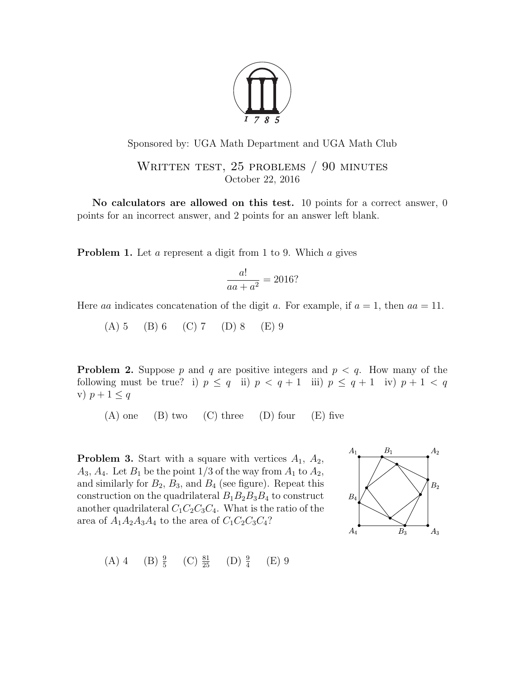

## Sponsored by: UGA Math Department and UGA Math Club

WRITTEN TEST, 25 PROBLEMS / 90 MINUTES October 22, 2016

No calculators are allowed on this test. 10 points for a correct answer, 0 points for an incorrect answer, and 2 points for an answer left blank.

**Problem 1.** Let a represent a digit from 1 to 9. Which a gives

$$
\frac{a!}{aa+a^2} = 2016?
$$

Here aa indicates concatenation of the digit a. For example, if  $a = 1$ , then  $aa = 11$ .

 $(A) 5 (B) 6 (C) 7 (D) 8 (E) 9$ 

**Problem 2.** Suppose p and q are positive integers and  $p < q$ . How many of the following must be true? i)  $p \leq q$  ii)  $p < q + 1$  iii)  $p \leq q + 1$  iv)  $p + 1 < q$ v)  $p+1 \leq q$ 

 $(A)$  one  $(B)$  two  $(C)$  three  $(D)$  four  $(E)$  five

**Problem 3.** Start with a square with vertices  $A_1$ ,  $A_2$ ,  $A_3, A_4$ . Let  $B_1$  be the point 1/3 of the way from  $A_1$  to  $A_2$ , and similarly for  $B_2$ ,  $B_3$ , and  $B_4$  (see figure). Repeat this construction on the quadrilateral  $B_1B_2B_3B_4$  to construct another quadrilateral  $C_1C_2C_3C_4$ . What is the ratio of the area of  $A_1A_2A_3A_4$  to the area of  $C_1C_2C_3C_4$ ?



(A) 4 (B) 
$$
\frac{9}{5}
$$
 (C)  $\frac{81}{25}$  (D)  $\frac{9}{4}$  (E) 9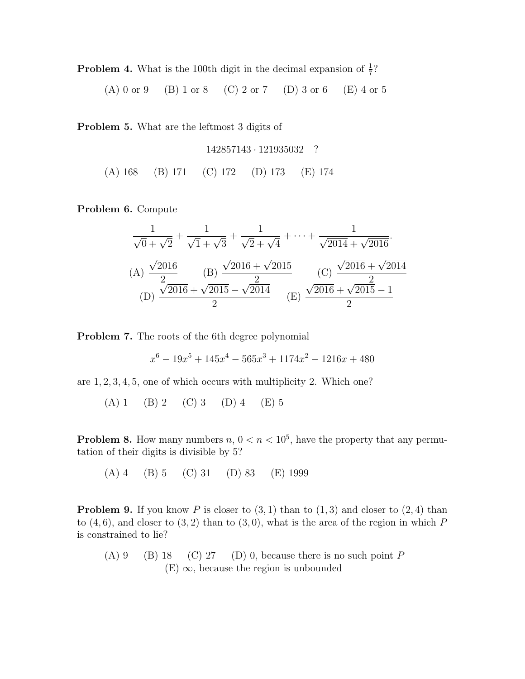**Problem 4.** What is the 100th digit in the decimal expansion of  $\frac{1}{7}$ ?

(A) 0 or 9 (B) 1 or 8 (C) 2 or 7 (D) 3 or 6 (E) 4 or 5

Problem 5. What are the leftmost 3 digits of

$$
142857143 \cdot 121935032 \quad ?
$$
\n(A) 168

\n(B) 171

\n(C) 172

\n(D) 173

\n(E) 174

Problem 6. Compute

$$
\frac{1}{\sqrt{0} + \sqrt{2}} + \frac{1}{\sqrt{1} + \sqrt{3}} + \frac{1}{\sqrt{2} + \sqrt{4}} + \dots + \frac{1}{\sqrt{2014} + \sqrt{2016}}.
$$
\n(A) 
$$
\frac{\sqrt{2016}}{2}
$$
\n(B) 
$$
\frac{\sqrt{2016} + \sqrt{2015}}{2}
$$
\n(C) 
$$
\frac{\sqrt{2016} + \sqrt{2014}}{2}
$$
\n(D) 
$$
\frac{\sqrt{2016} + \sqrt{2015} - \sqrt{2014}}{2}
$$
\n(E) 
$$
\frac{\sqrt{2016} + \sqrt{2015} - 1}{2}
$$

Problem 7. The roots of the 6th degree polynomial

$$
x^{6} - 19x^{5} + 145x^{4} - 565x^{3} + 1174x^{2} - 1216x + 480
$$

are 1, 2, 3, 4, 5, one of which occurs with multiplicity 2. Which one?

(A) 1 (B) 2 (C) 3 (D) 4 (E) 5

**Problem 8.** How many numbers  $n, 0 < n < 10^5$ , have the property that any permutation of their digits is divisible by 5?

(A) 4 (B) 5 (C) 31 (D) 83 (E) 1999

**Problem 9.** If you know P is closer to  $(3, 1)$  than to  $(1, 3)$  and closer to  $(2, 4)$  than to  $(4, 6)$ , and closer to  $(3, 2)$  than to  $(3, 0)$ , what is the area of the region in which P is constrained to lie?

(A) 9 (B) 18 (C) 27 (D) 0, because there is no such point  $P$  $(E)$   $\infty$ , because the region is unbounded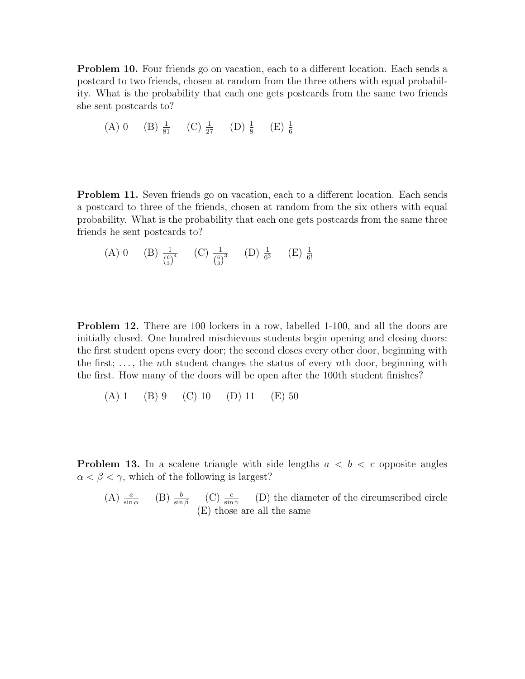Problem 10. Four friends go on vacation, each to a different location. Each sends a postcard to two friends, chosen at random from the three others with equal probability. What is the probability that each one gets postcards from the same two friends she sent postcards to?

(A) 0 (B) 
$$
\frac{1}{81}
$$
 (C)  $\frac{1}{27}$  (D)  $\frac{1}{8}$  (E)  $\frac{1}{6}$ 

**Problem 11.** Seven friends go on vacation, each to a different location. Each sends a postcard to three of the friends, chosen at random from the six others with equal probability. What is the probability that each one gets postcards from the same three friends he sent postcards to?

(A) 0 (B) 
$$
\frac{1}{\binom{6}{3}^4}
$$
 (C)  $\frac{1}{\binom{6}{3}^3}$  (D)  $\frac{1}{6^3}$  (E)  $\frac{1}{6!}$ 

**Problem 12.** There are 100 lockers in a row, labelled 1-100, and all the doors are initially closed. One hundred mischievous students begin opening and closing doors: the first student opens every door; the second closes every other door, beginning with the first;  $\dots$ , the *n*th student changes the status of every *n*th door, beginning with the first. How many of the doors will be open after the 100th student finishes?

(A) 1 (B) 9 (C) 10 (D) 11 (E) 50

**Problem 13.** In a scalene triangle with side lengths  $a < b < c$  opposite angles  $\alpha < \beta < \gamma$ , which of the following is largest?

(A) 
$$
\frac{a}{\sin \alpha}
$$
 (B)  $\frac{b}{\sin \beta}$  (C)  $\frac{c}{\sin \gamma}$  (D) the diameter of the circumscribed circle  
(E) those are all the same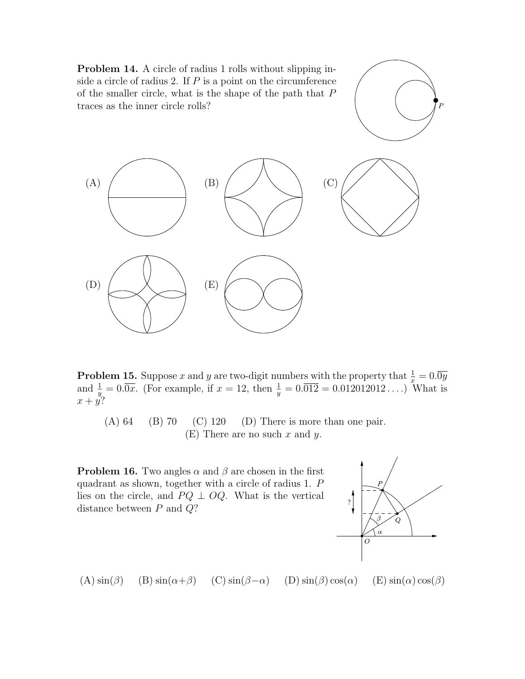

**Problem 15.** Suppose x and y are two-digit numbers with the property that  $\frac{1}{x} = 0.\overline{0y}$ and  $\frac{1}{y} = 0.\overline{0x}$ . (For example, if  $x = 12$ , then  $\frac{1}{y} = 0.\overline{012} = 0.012012012...$ ) What is  $x + y$ ?

(A)  $64$  (B)  $70$  (C)  $120$  (D) There is more than one pair.  $(E)$  There are no such x and y.

**Problem 16.** Two angles  $\alpha$  and  $\beta$  are chosen in the first quadrant as shown, together with a circle of radius 1. P lies on the circle, and  $PQ \perp OQ$ . What is the vertical distance between  $P$  and  $Q$ ?



(A)  $\sin(\beta)$  (B)  $\sin(\alpha+\beta)$  (C)  $\sin(\beta-\alpha)$  (D)  $\sin(\beta)\cos(\alpha)$  (E)  $\sin(\alpha)\cos(\beta)$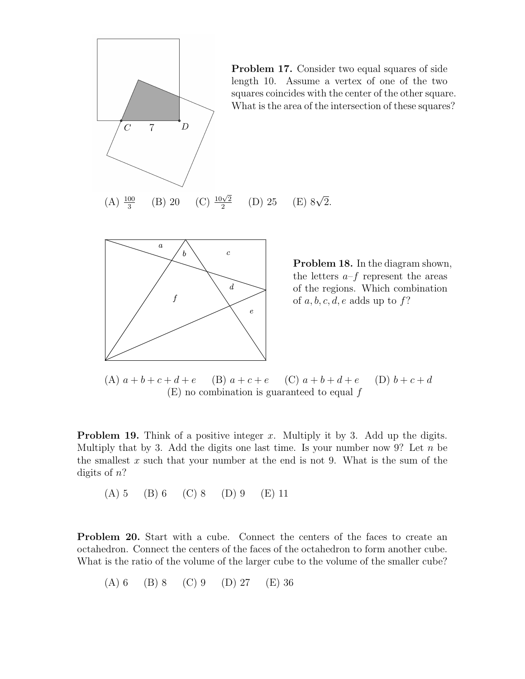

Problem 18. In the diagram shown, the letters  $a-f$  represent the areas of the regions. Which combination of  $a, b, c, d, e$  adds up to  $f$ ?

(A)  $a + b + c + d + e$  (B)  $a + c + e$  (C)  $a + b + d + e$  (D)  $b + c + d$  $(E)$  no combination is guaranteed to equal  $f$ 

**Problem 19.** Think of a positive integer x. Multiply it by 3. Add up the digits. Multiply that by 3. Add the digits one last time. Is your number now 9? Let  $n$  be the smallest  $x$  such that your number at the end is not 9. What is the sum of the digits of  $n$ ?

(A) 5 (B) 6 (C) 8 (D) 9 (E) 11

Problem 20. Start with a cube. Connect the centers of the faces to create an octahedron. Connect the centers of the faces of the octahedron to form another cube. What is the ratio of the volume of the larger cube to the volume of the smaller cube?

(A) 6 (B) 8 (C) 9 (D) 27 (E) 36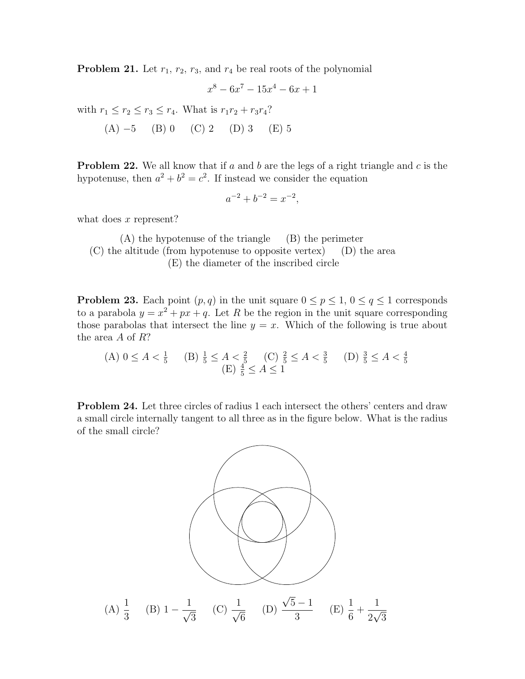**Problem 21.** Let  $r_1$ ,  $r_2$ ,  $r_3$ , and  $r_4$  be real roots of the polynomial

$$
x^8 - 6x^7 - 15x^4 - 6x + 1
$$

with  $r_1 \le r_2 \le r_3 \le r_4$ . What is  $r_1r_2 + r_3r_4$ ?

(A) 
$$
-5
$$
 (B) 0 (C) 2 (D) 3 (E) 5

**Problem 22.** We all know that if a and b are the legs of a right triangle and c is the hypotenuse, then  $a^2 + b^2 = c^2$ . If instead we consider the equation

$$
a^{-2} + b^{-2} = x^{-2},
$$

what does  $x$  represent?

(A) the hypotenuse of the triangle (B) the perimeter (C) the altitude (from hypotenuse to opposite vertex) (D) the area (E) the diameter of the inscribed circle

**Problem 23.** Each point  $(p, q)$  in the unit square  $0 \leq p \leq 1$ ,  $0 \leq q \leq 1$  corresponds to a parabola  $y = x^2 + px + q$ . Let R be the region in the unit square corresponding those parabolas that intersect the line  $y = x$ . Which of the following is true about the area  $A$  of  $R$ ?

(A) 
$$
0 \le A < \frac{1}{5}
$$
 (B)  $\frac{1}{5} \le A < \frac{2}{5}$  (C)  $\frac{2}{5} \le A < \frac{3}{5}$  (D)  $\frac{3}{5} \le A < \frac{4}{5}$  (E)  $\frac{4}{5} \le A \le 1$ 

Problem 24. Let three circles of radius 1 each intersect the others' centers and draw a small circle internally tangent to all three as in the figure below. What is the radius of the small circle?